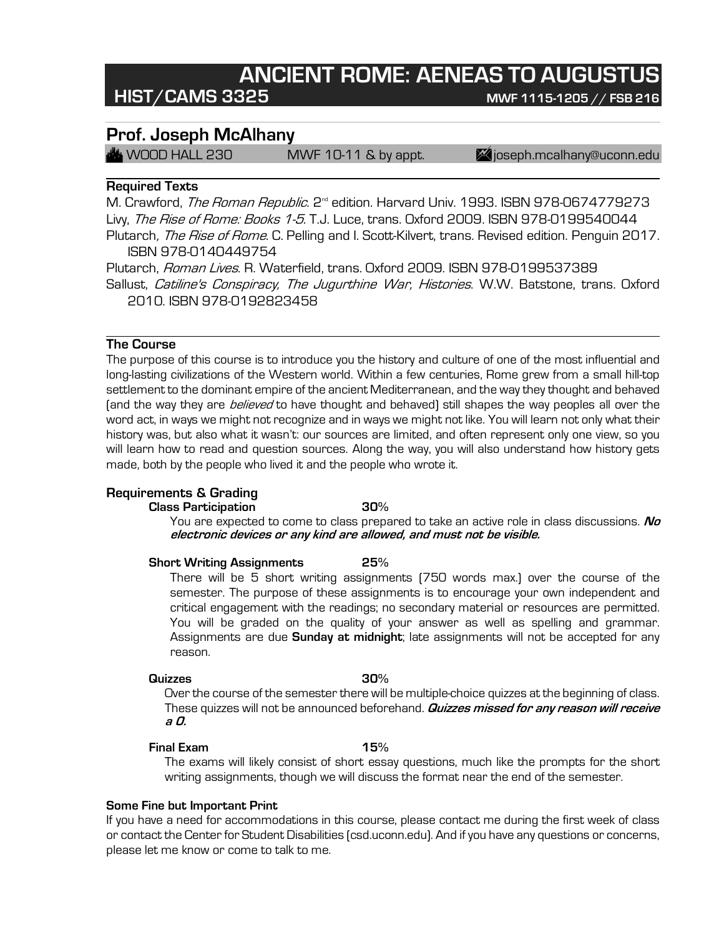# **ANCIENT ROME: AENEAS TO AUGUSTUS**

## **HIST/CAMS 3325 MWF 1115-1205 // FSB <sup>216</sup>**

## **Prof. Joseph McAlhany**

 $\mathcal{H}$  WOOD HALL 230 MWF 10-11 & by appt.  $\blacksquare$  joseph.mcalhany@uconn.edu

## **Required Texts**

M. Crawford, *The Roman Republic*. 2<sup>nd</sup> edition. Harvard Univ. 1993. ISBN 978-0674779273 Livy, *The Rise of Rome: Books 1-5*. T.J. Luce, trans. Oxford 2009. ISBN 978-0199540044 Plutarch, *The Rise of Rome.* C. Pelling and I. Scott-Kilvert, trans. Revised edition. Penguin 2017. ISBN 978-0140449754

Plutarch, *Roman Lives.* R. Waterfield, trans. Oxford 2009. ISBN 978-0199537389 Sallust, Catiline's Conspiracy, The Jugurthine War, Histories. W.W. Batstone, trans. Oxford 2010. ISBN 978-0192823458

## **The Course**

The purpose of this course is to introduce you the history and culture of one of the most influential and long-lasting civilizations of the Western world. Within a few centuries, Rome grew from a small hill-top settlement to the dominant empire of the ancient Mediterranean, and the way they thought and behaved (and the way they are *believed* to have thought and behaved) still shapes the way peoples all over the word act, in ways we might not recognize and in ways we might not like. You will learn not only what their history was, but also what it wasn't: our sources are limited, and often represent only one view, so you will learn how to read and question sources. Along the way, you will also understand how history gets made, both by the people who lived it and the people who wrote it.

## **Requirements & Grading**

### **Class Participation 30%**

You are expected to come to class prepared to take an active role in class discussions. **No electronic devices or any kind are allowed, and must not be visible.**

### **Short Writing Assignments 25%**

There will be 5 short writing assignments (750 words max.) over the course of the semester. The purpose of these assignments is to encourage your own independent and critical engagement with the readings; no secondary material or resources are permitted. You will be graded on the quality of your answer as well as spelling and grammar. Assignments are due **Sunday at midnight**; late assignments will not be accepted for any reason.

### **Quizzes 30%**

Over the course of the semester there will be multiple-choice quizzes at the beginning of class. These quizzes will not be announced beforehand. **Quizzes missed for any reason will receive a 0.**

## **Final Exam 15%**

The exams will likely consist of short essay questions, much like the prompts for the short writing assignments, though we will discuss the format near the end of the semester.

## **Some Fine but Important Print**

If you have a need for accommodations in this course, please contact me during the first week of class or contact the Center for Student Disabilities (csd.uconn.edu). And if you have any questions or concerns, please let me know or come to talk to me.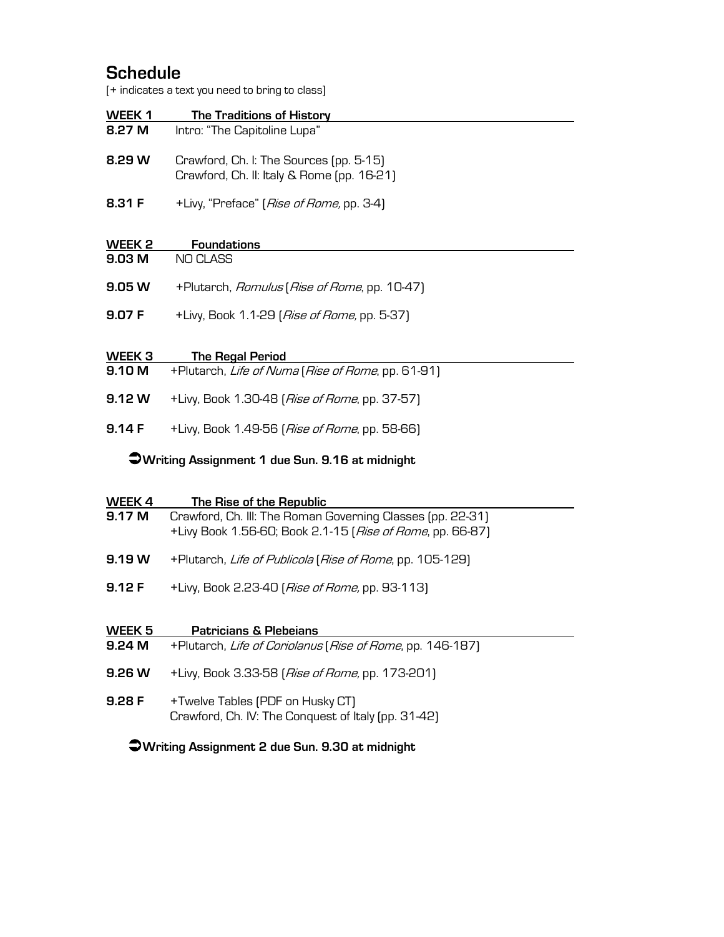## **Schedule**

[+ indicates a text you need to bring to class]

|                                                | T indicates a text you need to bring to class (                                                                         |  |
|------------------------------------------------|-------------------------------------------------------------------------------------------------------------------------|--|
| WEEK 1                                         | <b>The Traditions of History</b>                                                                                        |  |
| 8.27 M                                         | Intro: "The Capitoline Lupa"                                                                                            |  |
| 8.29 W                                         | Crawford, Ch. I: The Sources (pp. 5-15)<br>Crawford, Ch. II: Italy & Rome (pp. 16-21)                                   |  |
| 8.31 F                                         | +Livy, "Preface" [ <i>Rise of Rome,</i> pp. 3-4]                                                                        |  |
| WEEK <sub>2</sub>                              | <b>Foundations</b>                                                                                                      |  |
| 9.03 M                                         | <b>NO CLASS</b>                                                                                                         |  |
| 9.05 W                                         | +Plutarch, Romulus (Rise of Rome, pp. 10-47)                                                                            |  |
| 9.07 F                                         | +Livy, Book 1.1-29 [Rise of Rome, pp. 5-37]                                                                             |  |
|                                                |                                                                                                                         |  |
| WEEK <sub>3</sub><br>9.10 M                    | <b>The Regal Period</b><br>+Plutarch, Life of Numa (Rise of Rome, pp. 61-91)                                            |  |
| 9.12 W                                         | +Livy, Book 1.30-48 (Rise of Rome, pp. 37-57)                                                                           |  |
| 9.14F                                          | +Livy, Book 1.49-56 (Rise of Rome, pp. 58-66)                                                                           |  |
| Writing Assignment 1 due Sun. 9.16 at midnight |                                                                                                                         |  |
| WEEK 4                                         | The Rise of the Republic                                                                                                |  |
| 9.17 M                                         | Crawford, Ch. III: The Roman Governing Classes (pp. 22-31)<br>+Livy Book 1.56-60; Book 2.1-15 [Rise of Rome, pp. 66-87] |  |
| 9.19W                                          | +Plutarch, Life of Publicola (Rise of Rome, pp. 105-129)                                                                |  |
| 9.12F                                          | +Livy, Book 2.23-40 (Rise of Rome, pp. 93-113)                                                                          |  |
| WEEK <sub>5</sub>                              | <b>Patricians &amp; Plebeians</b>                                                                                       |  |
| 9.24 M                                         | +Plutarch, Life of Coriolanus (Rise of Rome, pp. 146-187)                                                               |  |
| 9.26 W                                         | +Livy, Book 3.33-58 (Rise of Rome, pp. 173-201)                                                                         |  |

**9.28 F** +Twelve Tables (PDF on Husky CT) Crawford, Ch. IV: The Conquest of Italy (pp. 31-42)

## Ü**Writing Assignment 2 due Sun. 9.30 at midnight**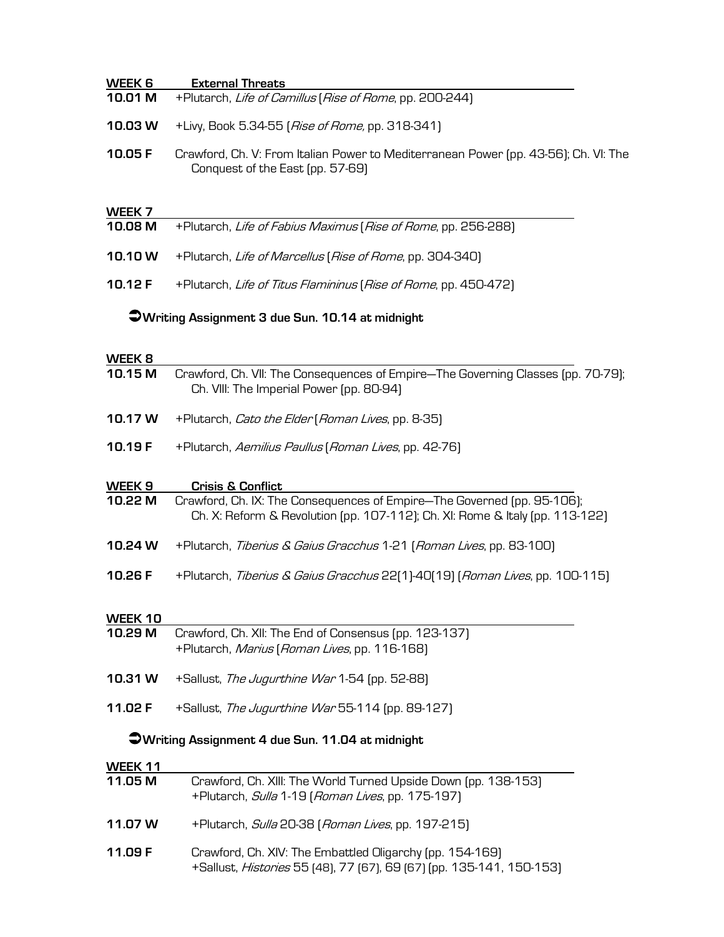| WEEK 6                                           | <b>External Threats</b>                                                                                                      |  |
|--------------------------------------------------|------------------------------------------------------------------------------------------------------------------------------|--|
| 10.01 M                                          | +Plutarch, Life of Camillus (Rise of Rome, pp. 200-244)                                                                      |  |
| 10.03 W                                          | +Livy, Book 5.34-55 ( <i>Rise of Rome,</i> pp. 318-341)                                                                      |  |
| 10.05 F                                          | Crawford, Ch. V: From Italian Power to Mediterranean Power (pp. 43-56); Ch. VI: The<br>Conquest of the East (pp. 57-69)      |  |
| WEEK 7                                           |                                                                                                                              |  |
| 10.08 M                                          | +Plutarch, Life of Fabius Maximus (Rise of Rome, pp. 256-288)                                                                |  |
| 10.10W                                           | +Plutarch, Life of Marcellus (Rise of Rome, pp. 304-340)                                                                     |  |
| 10.12 F                                          | +Plutarch, Life of Titus Flamininus (Rise of Rome, pp. 450-472)                                                              |  |
| OWriting Assignment 3 due Sun. 10.14 at midnight |                                                                                                                              |  |
| WEEK 8                                           |                                                                                                                              |  |
| 10.15 M                                          | Crawford, Ch. VII: The Consequences of Empire—The Governing Classes (pp. 70-79);<br>Ch. VIII: The Imperial Power (pp. 80-94) |  |

- **10.17 W** +Plutarch, Cato the Elder (Roman Lives, pp. 8-35)
- **10.19 F** +Plutarch, Aemilius Paullus (Roman Lives, pp. 42-76)

## **WEEK 9 Crisis & Conflict**

- **10.22 M** Crawford, Ch. IX: The Consequences of Empire—The Governed (pp. 95-106); Ch. X: Reform & Revolution (pp. 107-112); Ch. XI: Rome & Italy (pp. 113-122)
- **10.24 W** +Plutarch, Tiberius & Gaius Gracchus 1-21 (Roman Lives, pp. 83-100)
- **10.26 F** +Plutarch, Tiberius & Gaius Gracchus 22(1)-40(19) (Roman Lives, pp. 100-115)

# **WEEK 10**

- **10.29 M** Crawford, Ch. XII: The End of Consensus (pp. 123-137) +Plutarch, Marius (Roman Lives, pp. 116-168)
- **10.31 W** +Sallust, The Jugurthine War 1-54 (pp. 52-88)
- **11.02 F** +Sallust, The Jugurthine War 55-114 (pp. 89-127)

## Ü**Writing Assignment 4 due Sun. 11.04 at midnight**

### **WEEK 11**

| 11.05 M | Crawford, Ch. XIII: The World Turned Upside Down (pp. 138-153)<br>+Plutarch, Sulla 1-19 (Roman Lives, pp. 175-197)               |
|---------|----------------------------------------------------------------------------------------------------------------------------------|
| 11.07 W | +Plutarch, Sulla 20-38 (Roman Lives, pp. 197-215)                                                                                |
| 11.09 F | Crawford, Ch. XIV: The Embattled Oligarchy (pp. 154-169)<br>+Sallust, Histories 55 [48], 77 [67], 69 [67] [pp. 135-141, 150-153] |